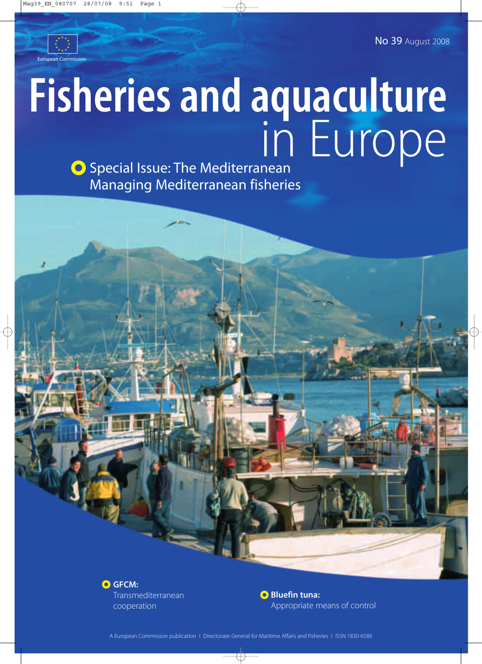No 39 August 2008



# **Fisheries and aquaculture** in Europe

**O** Special Issue: The Mediterranean Managing Mediterranean fisheries



**Bluefin tuna:** Appropriate means of control

A European Commission publication **I** Directorate-General for Maritime Affairs and Fisheries **I** ISSN 1830-6586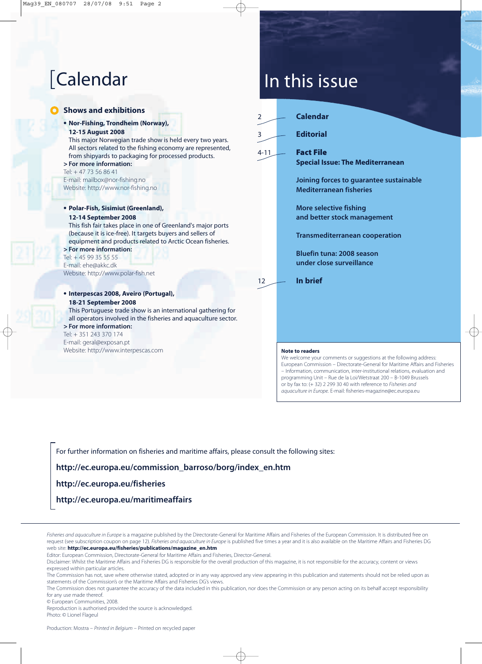### **O** Shows and exhibitions

**• Nor-Fishing, Trondheim (Norway), 12-15 August 2008**

This major Norwegian trade show is held every two years. All sectors related to the fishing economy are represented, from shipyards to packaging for processed products. **> For more information:**

### Tel: + 47 73 56 86 41 E-mail: mailbox@nor-fishing.no Website: http://www.nor-fishing.no

**• Polar-Fish, Sisimiut (Greenland),** 

### **12-14 September 2008**

This fish fair takes place in one of Greenland's major ports (because it is ice-free). It targets buyers and sellers of equipment and products related to Arctic Ocean fisheries. **> For more information:**

Tel: + 45 99 35 55 55 E-mail: ehe@akkc.dk Website: http://www.polar-fish.net

### **• Interpescas 2008, Aveiro (Portugal), 18-21 September 2008**

This Portuguese trade show is an international gathering for all operators involved in the fisheries and aquaculture sector.

### **> For more information:**

Tel: + 351 243 370 174 E-mail: geral@exposan.pt Website: http://www.interpescas.com

# [Calendar In this issue

| $\overline{2}$ |                        | <b>Calendar</b>                                                           |  |
|----------------|------------------------|---------------------------------------------------------------------------|--|
| 3              |                        | <b>Editorial</b>                                                          |  |
| $4 - 11$       |                        | <b>Fact File</b><br><b>Special Issue: The Mediterranean</b>               |  |
|                |                        | Joining forces to guarantee sustainable<br><b>Mediterranean fisheries</b> |  |
|                |                        | <b>More selective fishing</b><br>and better stock management              |  |
|                |                        | <b>Transmediterranean cooperation</b>                                     |  |
|                |                        | <b>Bluefin tuna: 2008 season</b><br>under close surveillance              |  |
| 12             |                        | In brief                                                                  |  |
|                |                        |                                                                           |  |
|                |                        |                                                                           |  |
|                |                        |                                                                           |  |
|                | <b>Note to readers</b> |                                                                           |  |

We welcome your comments or suggestions at the following address: European Commission – Directorate-General for Maritime Affairs and Fisheries – Information, communication, inter-institutional relations, evaluation and programming Unit – Rue de la Loi/Wetstraat 200 – B-1049 Brussels or by fax to: (+ 32) 2 299 30 40 with reference to *Fisheries and aquaculture in Europe.* E-mail: fisheries-magazine@ec.europa.eu

For further information on fisheries and maritime affairs, please consult the following sites:

**http://ec.europa.eu/commission\_barroso/borg/index\_en.htm**

**http://ec.europa.eu/fisheries**

**http://ec.europa.eu/maritimeaffairs**

Fisheries and aquaculture in Europe is a magazine published by the Directorate-General for Maritime Affairs and Fisheries of the European Commission. It is distributed free on request (see subscription coupon on page 12). *Fisheries and aquaculture in Europe* is published five times a year and it is also available on the Maritime Affairs and Fisheries DG web site: **http://ec.europa.eu/fisheries/publications/magazine\_en.htm**

Editor: European Commission, Directorate-General for Maritime Affairs and Fisheries, Director-General.

© European Communities, 2008.

Reproduction is authorised provided the source is acknowledged. Photo: © Lionel Flageul

Disclaimer: Whilst the Maritime Affairs and Fisheries DG is responsible for the overall production of this magazine, it is not responsible for the accuracy, content or views expressed within particular articles.

The Commission has not, save where otherwise stated, adopted or in any way approved any view appearing in this publication and statements should not be relied upon as statements of the Commission's or the Maritime Affairs and Fisheries DG's views.

The Commission does not guarantee the accuracy of the data included in this publication, nor does the Commission or any person acting on its behalf accept responsibility for any use made thereof.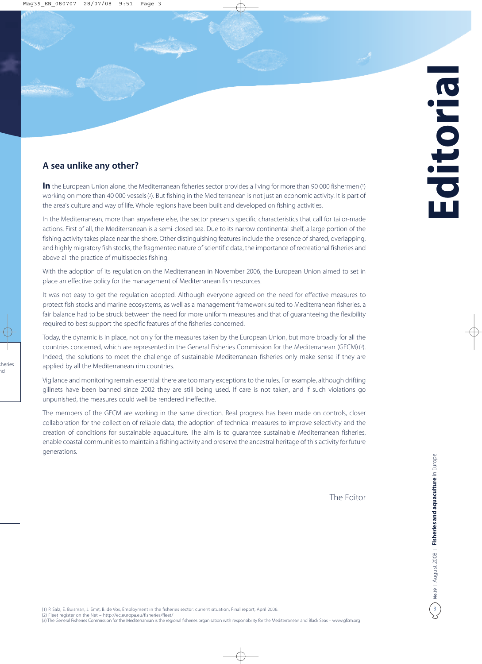## **A sea unlike any other?**

In the European Union alone, the Mediterranean fisheries sector provides a living for more than 90 000 fishermen (1) working on more than 40 000 vessels (?). But fishing in the Mediterranean is not just an economic activity. It is part of the area's culture and way of life. Whole regions have been built and developed on fishing activities.

In the Mediterranean, more than anywhere else, the sector presents specific characteristics that call for tailor-made actions. First of all, the Mediterranean is a semi-closed sea. Due to its narrow continental shelf, a large portion of the fishing activity takes place near the shore. Other distinguishing features include the presence of shared, overlapping, and highly migratory fish stocks, the fragmented nature of scientific data, the importance of recreational fisheries and above all the practice of multispecies fishing.

With the adoption of its regulation on the Mediterranean in November 2006, the European Union aimed to set in place an effective policy for the management of Mediterranean fish resources.

It was not easy to get the regulation adopted. Although everyone agreed on the need for effective measures to protect fish stocks and marine ecosystems, as well as a management framework suited to Mediterranean fisheries, a fair balance had to be struck between the need for more uniform measures and that of guaranteeing the flexibility required to best support the specific features of the fisheries concerned.

Today, the dynamic is in place, not only for the measures taken by the European Union, but more broadly for all the countries concerned, which are represented in the General Fisheries Commission for the Mediterranean (GFCM) ( 3 ) . Indeed, the solutions to meet the challenge of sustainable Mediterranean fisheries only make sense if they are applied by all the Mediterranean rim countries.

Vigilance and monitoring remain essential: there are too many exceptions to the rules. For example, although drifting gillnets have been banned since 2002 they are still being used. If care is not taken, and if such violations go unpunished, the measures could well be rendered ineffective.

The members of the GFCM are working in the same direction. Real progress has been made on controls, closer collaboration for the collection of reliable data, the adoption of technical measures to improve selectivity and the creation of conditions for sustainable aquaculture. The aim is to guarantee sustainable Mediterranean fisheries, enable coastal communities to maintain a fishing activity and preserve the ancestral heritage of this activity for future generations.

The Editor

(1) P. Salz, E. Buisman, J. Smit, B. de Vos, Employment in the fisheries sector: current situation, Final report, April 2006. (2) Fleet register on the Net – http://ec.europa.eu/fisheries/fleet/ (3) The General Fisheries Commission for the Mediterranean is the regional fisheries organisation with responsibility for the Mediterranean and Black Seas – www.gfcm.org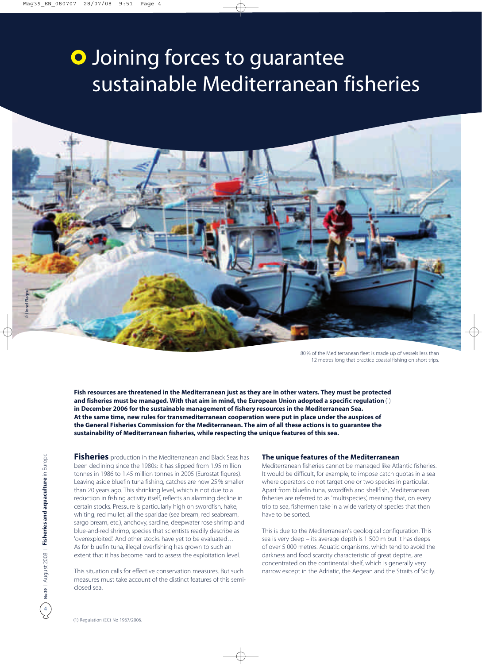# **O** Joining forces to guarantee sustainable Mediterranean fisheries



80 % of the Mediterranean fleet is made up of vessels less than 12 metres long that practice coastal fishing on short trips.

**Fish resources are threatened in the Mediterranean just as they are in other waters. They must be protected and fisheries must be managed. With that aim in mind, the European Union adopted a specific regulation** (1) **in December 2006 for the sustainable management of fishery resources in the Mediterranean Sea. At the same time, new rules for transmediterranean cooperation were put in place under the auspices of the General Fisheries Commission for the Mediterranean. The aim of all these actions is to guarantee the sustainability of Mediterranean fisheries, while respecting the unique features of this sea.** 

**Fisheries** production in the Mediterranean and Black Seas has been declining since the 1980s: it has slipped from 1.95 million tonnes in 1986 to 1.45 million tonnes in 2005 (Eurostat figures). Leaving aside bluefin tuna fishing, catches are now 25 % smaller than 20 years ago. This shrinking level, which is not due to a reduction in fishing activity itself, reflects an alarming decline in certain stocks. Pressure is particularly high on swordfish, hake, whiting, red mullet, all the sparidae (sea bream, red seabream, sargo bream, etc.), anchovy, sardine, deepwater rose shrimp and blue-and-red shrimp, species that scientists readily describe as 'overexploited'. And other stocks have yet to be evaluated… As for bluefin tuna, illegal overfishing has grown to such an extent that it has become hard to assess the exploitation level.

This situation calls for effective conservation measures. But such measures must take account of the distinct features of this semiclosed sea.

### **The unique features of the Mediterranean**

Mediterranean fisheries cannot be managed like Atlantic fisheries. It would be difficult, for example, to impose catch quotas in a sea where operators do not target one or two species in particular. Apart from bluefin tuna, swordfish and shellfish, Mediterranean fisheries are referred to as 'multispecies', meaning that, on every trip to sea, fishermen take in a wide variety of species that then have to be sorted.

This is due to the Mediterranean's geological configuration. This sea is very deep – its average depth is 1 500 m but it has deeps of over 5 000 metres. Aquatic organisms, which tend to avoid the darkness and food scarcity characteristic of great depths, are concentrated on the continental shelf, which is generally very narrow except in the Adriatic, the Aegean and the Straits of Sicily.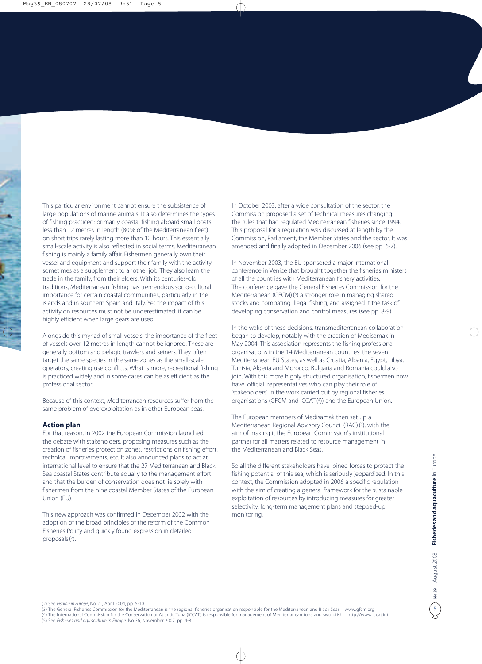This particular environment cannot ensure the subsistence of large populations of marine animals. It also determines the types of fishing practiced: primarily coastal fishing aboard small boats less than 12 metres in length (80 % of the Mediterranean fleet) on short trips rarely lasting more than 12 hours. This essentially small-scale activity is also reflected in social terms. Mediterranean fishing is mainly a family affair. Fishermen generally own their vessel and equipment and support their family with the activity, sometimes as a supplement to another job. They also learn the trade in the family, from their elders. With its centuries-old traditions, Mediterranean fishing has tremendous socio-cultural importance for certain coastal communities, particularly in the islands and in southern Spain and Italy. Yet the impact of this activity on resources must not be underestimated: it can be highly efficient when large gears are used.

Alongside this myriad of small vessels, the importance of the fleet of vessels over 12 metres in length cannot be ignored. These are generally bottom and pelagic trawlers and seiners. They often target the same species in the same zones as the small-scale operators, creating use conflicts. What is more, recreational fishing is practiced widely and in some cases can be as efficient as the professional sector.

Because of this context, Mediterranean resources suffer from the same problem of overexploitation as in other European seas.

### **Action plan**

For that reason, in 2002 the European Commission launched the debate with stakeholders, proposing measures such as the creation of fisheries protection zones, restrictions on fishing effort, technical improvements, etc. It also announced plans to act at international level to ensure that the 27 Mediterranean and Black Sea coastal States contribute equally to the management effort and that the burden of conservation does not lie solely with fishermen from the nine coastal Member States of the European Union (EU).

This new approach was confirmed in December 2002 with the adoption of the broad principles of the reform of the Common Fisheries Policy and quickly found expression in detailed proposals (2).

In October 2003, after a wide consultation of the sector, the Commission proposed a set of technical measures changing the rules that had regulated Mediterranean fisheries since 1994. This proposal for a regulation was discussed at length by the Commission, Parliament, the Member States and the sector. It was amended and finally adopted in December 2006 (see pp. 6-7).

In November 2003, the EU sponsored a major international conference in Venice that brought together the fisheries ministers of all the countries with Mediterranean fishery activities. The conference gave the General Fisheries Commission for the Mediterranean (GFCM) (3) a stronger role in managing shared stocks and combating illegal fishing, and assigned it the task of developing conservation and control measures (see pp. 8-9).

In the wake of these decisions, transmediterranean collaboration began to develop, notably with the creation of Medisamak in May 2004. This association represents the fishing professional organisations in the 14 Mediterranean countries: the seven Mediterranean EU States, as well as Croatia, Albania, Egypt, Libya, Tunisia, Algeria and Morocco. Bulgaria and Romania could also join. With this more highly structured organisation, fishermen now have 'official' representatives who can play their role of 'stakeholders' in the work carried out by regional fisheries organisations (GFCM and ICCAT (4)) and the European Union.

The European members of Medisamak then set up a Mediterranean Regional Advisory Council (RAC) (5), with the aim of making it the European Commission's institutional partner for all matters related to resource management in the Mediterranean and Black Seas.

So all the different stakeholders have joined forces to protect the fishing potential of this sea, which is seriously jeopardized. In this context, the Commission adopted in 2006 a specific regulation with the aim of creating a general framework for the sustainable exploitation of resources by introducing measures for greater selectivity, long-term management plans and stepped-up monitoring.

(2) See *Fishing in Europe*, No 21, April 2004, pp. 5-10.

- (3) The General Fisheries Commission for the Mediterranean is the regional fisheries organisation responsible for the Mediterranean and Black Seas www.gfcm.org (4) The International Commission for the Conservation of Atlantic Tuna (ICCAT) is responsible for management of Mediterranean tuna and swordfish – http://www.iccat.int
- (5) See *Fisheries and aquaculture in Europe*, No 36, November 2007, pp. 4-8.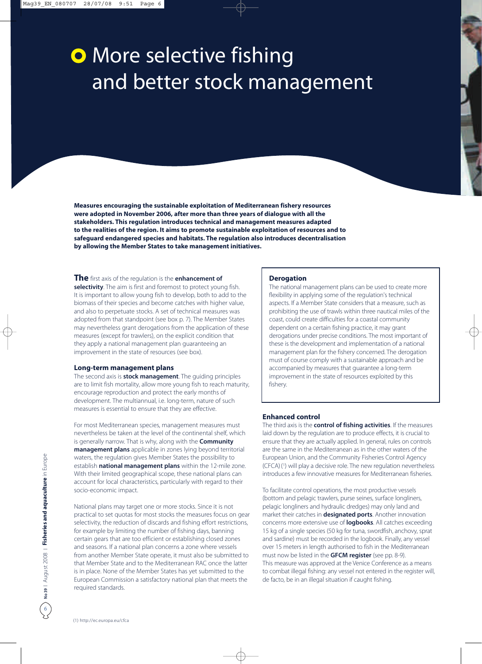# **O** More selective fishing and better stock management

**Measures encouraging the sustainable exploitation of Mediterranean fishery resources were adopted in November 2006, after more than three years of dialogue with all the stakeholders. This regulation introduces technical and management measures adapted to the realities of the region. It aims to promote sustainable exploitation of resources and to safeguard endangered species and habitats. The regulation also introduces decentralisation by allowing the Member States to take management initiatives.**

### **The** first axis of the regulation is the **enhancement of**

**selectivity**. The aim is first and foremost to protect young fish. It is important to allow young fish to develop, both to add to the biomass of their species and become catches with higher value, and also to perpetuate stocks. A set of technical measures was adopted from that standpoint (see box p. 7). The Member States may nevertheless grant derogations from the application of these measures (except for trawlers), on the explicit condition that they apply a national management plan guaranteeing an improvement in the state of resources (see box).

### **Long-term management plans**

The second axis is **stock management**. The guiding principles are to limit fish mortality, allow more young fish to reach maturity, encourage reproduction and protect the early months of development. The multiannual, i.e. long-term, nature of such measures is essential to ensure that they are effective.

For most Mediterranean species, management measures must nevertheless be taken at the level of the continental shelf, which is generally narrow. That is why, along with the **Community management plans** applicable in zones lying beyond territorial waters, the regulation gives Member States the possibility to establish **national management plans** within the 12-mile zone. With their limited geographical scope, these national plans can account for local characteristics, particularly with regard to their socio-economic impact.

National plans may target one or more stocks. Since it is not practical to set quotas for most stocks the measures focus on gear selectivity, the reduction of discards and fishing effort restrictions, for example by limiting the number of fishing days, banning certain gears that are too efficient or establishing closed zones and seasons. If a national plan concerns a zone where vessels from another Member State operate, it must also be submitted to that Member State and to the Mediterranean RAC once the latter is in place. None of the Member States has yet submitted to the European Commission a satisfactory national plan that meets the required standards.

### **Derogation**

The national management plans can be used to create more flexibility in applying some of the regulation's technical aspects. If a Member State considers that a measure, such as prohibiting the use of trawls within three nautical miles of the coast, could create difficulties for a coastal community dependent on a certain fishing practice, it may grant derogations under precise conditions. The most important of these is the development and implementation of a national management plan for the fishery concerned. The derogation must of course comply with a sustainable approach and be accompanied by measures that guarantee a long-term improvement in the state of resources exploited by this fishery.

### **Enhanced control**

The third axis is the **control of fishing activities**. If the measures laid down by the regulation are to produce effects, it is crucial to ensure that they are actually applied. In general, rules on controls are the same in the Mediterranean as in the other waters of the European Union, and the Community Fisheries Control Agency (CFCA) (1) will play a decisive role. The new regulation nevertheless introduces a few innovative measures for Mediterranean fisheries.

To facilitate control operations, the most productive vessels (bottom and pelagic trawlers, purse seines, surface longliners, pelagic longliners and hydraulic dredges) may only land and market their catches in **designated ports**. Another innovation concerns more extensive use of **logbooks**. All catches exceeding 15 kg of a single species (50 kg for tuna, swordfish, anchovy, sprat and sardine) must be recorded in the logbook. Finally, any vessel over 15 meters in length authorised to fish in the Mediterranean must now be listed in the **GFCM register** (see pp. 8-9). This measure was approved at the Venice Conference as a means to combat illegal fishing: any vessel not entered in the register will, de facto, be in an illegal situation if caught fishing.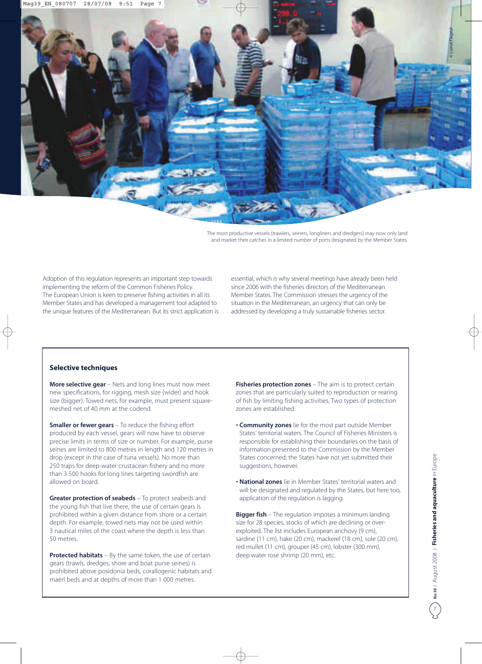

The most productive vessels (trawlers, seiners, longliners and dredgers) may now only land and market their catches in a limited number of ports designated by the Member States.

Adoption of this regulation represents an important step towards implementing the reform of the Common Fisheries Policy. The European Union is keen to preserve fishing activities in all its Member States and has developed a management tool adapted to the unique features of the Mediterranean. But its strict application is essential, which is why several meetings have already been held since 2006 with the fisheries directors of the Mediterranean Member States. The Commission stresses the urgency of the situation in the Mediterranean, an urgency that can only be addressed by developing a truly sustainable fisheries sector.

### **Selective techniques**

**More selective gear** – Nets and long lines must now meet new specifications, for rigging, mesh size (wider) and hook size (bigger). Towed nets, for example, must present squaremeshed net of 40 mm at the codend.

**Smaller or fewer gears** – To reduce the fishing effort produced by each vessel, gears will now have to observe precise limits in terms of size or number. For example, purse seines are limited to 800 metres in length and 120 metres in drop (except in the case of tuna vessels). No more than 250 traps for deep-water crustacean fishery and no more than 3 500 hooks for long lines targeting swordfish are allowed on board.

**Greater protection of seabeds** – To protect seabeds and the young fish that live there, the use of certain gears is prohibited within a given distance from shore or a certain depth. For example, towed nets may not be used within 3 nautical miles of the coast where the depth is less than 50 metres.

**Protected habitats** – By the same token, the use of certain gears (trawls, dredges, shore and boat purse seines) is prohibited above posidonia beds, corallogenic habitats and maërl beds and at depths of more than 1 000 metres.

**Fisheries protection zones** – The aim is to protect certain zones that are particularly suited to reproduction or rearing of fish by limiting fishing activities. Two types of protection zones are established:

- **Community zones** lie for the most part outside Member States' territorial waters. The Council of Fisheries Ministers is responsible for establishing their boundaries on the basis of information presented to the Commission by the Member States concerned; the States have not yet submitted their suggestions, however.
- **National zones** lie in Member States' territorial waters and will be designated and regulated by the States, but here too, application of the regulation is lagging.

**Bigger fish** – The regulation imposes a minimum landing size for 28 species, stocks of which are declining or overexploited. The list includes European anchovy (9 cm), sardine (11 cm), hake (20 cm), mackerel (18 cm), sole (20 cm), red mullet (11 cm), grouper (45 cm), lobster (300 mm), deep water rose shrimp (20 mm), etc.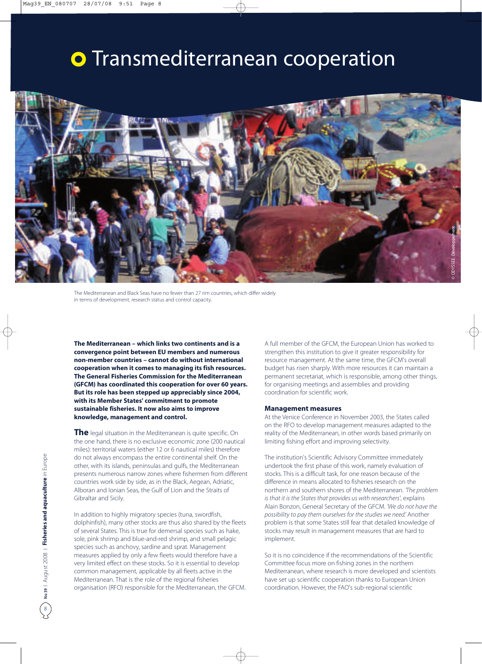# **o** Transmediterranean cooperation



The Mediterranean and Black Seas have no fewer than 27 rim countries, which differ widely in terms of development, research status and control capacity.

**The Mediterranean – which links two continents and is a convergence point between EU members and numerous non-member countries – cannot do without international cooperation when it comes to managing its fish resources. The General Fisheries Commission for the Mediterranean (GFCM) has coordinated this cooperation for over 60 years. But its role has been stepped up appreciably since 2004, with its Member States' commitment to promote sustainable fisheries. It now also aims to improve knowledge, management and control.**

**The** legal situation in the Mediterranean is quite specific. On the one hand, there is no exclusive economic zone (200 nautical miles): territorial waters (either 12 or 6 nautical miles) therefore do not always encompass the entire continental shelf. On the other, with its islands, peninsulas and gulfs, the Mediterranean presents numerous narrow zones where fishermen from different countries work side by side, as in the Black, Aegean, Adriatic, Alboran and Ionian Seas, the Gulf of Lion and the Straits of Gibraltar and Sicily.

In addition to highly migratory species (tuna, swordfish, dolphinfish), many other stocks are thus also shared by the fleets of several States. This is true for demersal species such as hake, sole, pink shrimp and blue-and-red shrimp, and small pelagic species such as anchovy, sardine and sprat. Management measures applied by only a few fleets would therefore have a very limited effect on these stocks. So it is essential to develop common management, applicable by all fleets active in the Mediterranean. That is the role of the regional fisheries organisation (RFO) responsible for the Mediterranean, the GFCM.

A full member of the GFCM, the European Union has worked to strengthen this institution to give it greater responsibility for resource management. At the same time, the GFCM's overall budget has risen sharply. With more resources it can maintain a permanent secretariat, which is responsible, among other things, for organising meetings and assemblies and providing coordination for scientific work.

### **Management measures**

At the Venice Conference in November 2003, the States called on the RFO to develop management measures adapted to the reality of the Mediterranean, in other words based primarily on limiting fishing effort and improving selectivity.

The institution's Scientific Advisory Committee immediately undertook the first phase of this work, namely evaluation of stocks. This is a difficult task, for one reason because of the difference in means allocated to fisheries research on the northern and southern shores of the Mediterranean. *'The problem is that it is the States that provides us with researchers'*, explains Alain Bonzon, General Secretary of the GFCM. *'We do not have the possibility to pay them ourselves for the studies we need.'* Another problem is that some States still fear that detailed knowledge of stocks may result in management measures that are hard to implement.

So it is no coincidence if the recommendations of the Scientific Committee focus more on fishing zones in the northern Mediterranean, where research is more developed and scientists have set up scientific cooperation thanks to European Union coordination. However, the FAO's sub-regional scientific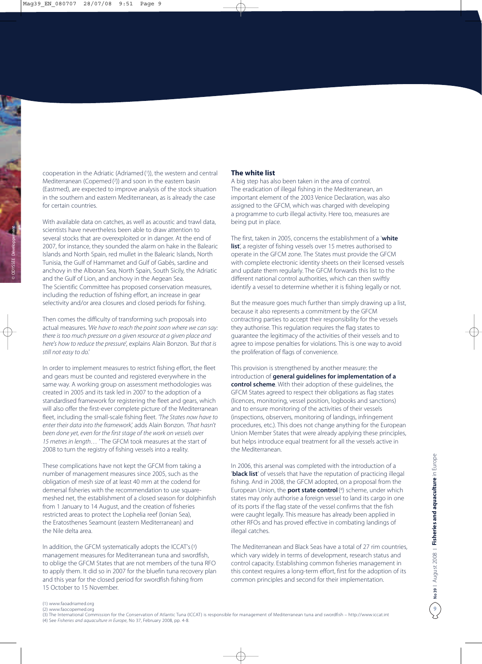cooperation in the Adriatic (Adriamed(1)), the western and central Mediterranean (Copemed(2)) and soon in the eastern basin (Eastmed), are expected to improve analysis of the stock situation in the southern and eastern Mediterranean, as is already the case for certain countries.

With available data on catches, as well as acoustic and trawl data, scientists have nevertheless been able to draw attention to several stocks that are overexploited or in danger. At the end of 2007, for instance, they sounded the alarm on hake in the Balearic Islands and North Spain, red mullet in the Balearic Islands, North Tunisia, the Gulf of Hammamet and Gulf of Gabès, sardine and anchovy in the Alboran Sea, North Spain, South Sicily, the Adriatic and the Gulf of Lion, and anchovy in the Aegean Sea. The Scientific Committee has proposed conservation measures, including the reduction of fishing effort, an increase in gear selectivity and/or area closures and closed periods for fishing.

Then comes the difficulty of transforming such proposals into actual measures. *'We have to reach the point soon where we can say: there is too much pressure on a given resource at a given place and here's how to reduce the pressure*', explains Alain Bonzon. *'But that is still not easy to do.'*

In order to implement measures to restrict fishing effort, the fleet and gears must be counted and registered everywhere in the same way. A working group on assessment methodologies was created in 2005 and its task led in 2007 to the adoption of a standardised framework for registering the fleet and gears, which will also offer the first-ever complete picture of the Mediterranean fleet, including the small-scale fishing fleet. *'The States now have to enter their data into the framework',* adds Alain Bonzon. *'That hasn't been done yet, even for the first stage of the work on vessels over*  15 metres in length... 'The GFCM took measures at the start of 2008 to turn the registry of fishing vessels into a reality.

These complications have not kept the GFCM from taking a number of management measures since 2005, such as the obligation of mesh size of at least 40 mm at the codend for demersal fisheries with the recommendation to use squaremeshed net, the establishment of a closed season for dolphinfish from 1 January to 14 August, and the creation of fisheries restricted areas to protect the Lophelia reef (Ionian Sea), the Eratosthenes Seamount (eastern Mediterranean) and the Nile delta area.

In addition, the GFCM systematically adopts the ICCAT's(3) management measures for Mediterranean tuna and swordfish, to oblige the GFCM States that are not members of the tuna RFO to apply them. It did so in 2007 for the bluefin tuna recovery plan and this year for the closed period for swordfish fishing from 15 October to 15 November.

### **The white list**

A big step has also been taken in the area of control. The eradication of illegal fishing in the Mediterranean, an important element of the 2003 Venice Declaration, was also assigned to the GFCM, which was charged with developing a programme to curb illegal activity. Here too, measures are being put in place.

The first, taken in 2005, concerns the establishment of a '**white** list', a register of fishing vessels over 15 metres authorised to operate in the GFCM zone. The States must provide the GFCM with complete electronic identity sheets on their licensed vessels and update them regularly. The GFCM forwards this list to the different national control authorities, which can then swiftly identify a vessel to determine whether it is fishing legally or not.

But the measure goes much further than simply drawing up a list, because it also represents a commitment by the GFCM contracting parties to accept their responsibility for the vessels they authorise. This regulation requires the flag states to guarantee the legitimacy of the activities of their vessels and to agree to impose penalties for violations. This is one way to avoid the proliferation of flags of convenience.

This provision is strengthened by another measure: the introduction of **general guidelines for implementation of a control scheme**. With their adoption of these guidelines, the GFCM States agreed to respect their obligations as flag states (licences, monitoring, vessel position, logbooks and sanctions) and to ensure monitoring of the activities of their vessels (inspections, observers, monitoring of landings, infringement procedures, etc.). This does not change anything for the European Union Member States that were already applying these principles, but helps introduce equal treatment for all the vessels active in the Mediterranean.

In 2006, this arsenal was completed with the introduction of a '**black list**' of vessels that have the reputation of practicing illegal fishing. And in 2008, the GFCM adopted, on a proposal from the European Union, the **port state control**(4) scheme, under which states may only authorise a foreign vessel to land its cargo in one of its ports if the flag state of the vessel confirms that the fish were caught legally. This measure has already been applied in other RFOs and has proved effective in combating landings of illegal catches.

The Mediterranean and Black Seas have a total of 27 rim countries, which vary widely in terms of development, research status and control capacity. Establishing common fisheries management in this context requires a long-term effort, first for the adoption of its common principles and second for their implementation.

<sup>(1)</sup> www.faoadriamed.org

<sup>(2)</sup> www.faocopemed.org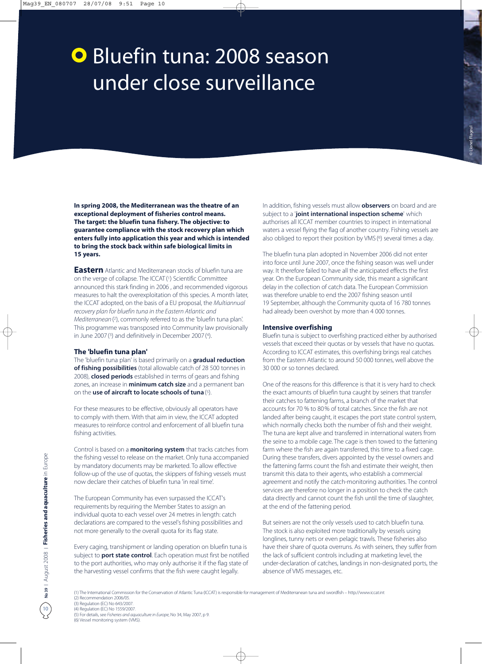# **O** Bluefin tuna: 2008 season under close surveillance

**In spring 2008, the Mediterranean was the theatre of an exceptional deployment of fisheries control means. The target: the bluefin tuna fishery. The objective: to guarantee compliance with the stock recovery plan which enters fully into application this year and which is intended to bring the stock back within safe biological limits in 15 years.**

**Eastern** Atlantic and Mediterranean stocks of bluefin tuna are on the verge of collapse. The ICCAT (1) Scientific Committee announced this stark finding in 2006 , and recommended vigorous measures to halt the overexploitation of this species. A month later, the ICCAT adopted, on the basis of a EU proposal, the *Multiannual recovery plan for bluefin tuna in the Eastern Atlantic and Mediterranean*(2), commonly referred to as the 'bluefin tuna plan'. This programme was transposed into Community law provisionally in June 2007 (3) and definitively in December 2007 (4).

### **The 'bluefin tuna plan'**

The 'bluefin tuna plan' is based primarily on a **gradual reduction of fishing possibilities** (total allowable catch of 28 500 tonnes in 2008), **closed periods** established in terms of gears and fishing zones, an increase in **minimum catch size** and a permanent ban on the **use of aircraft to locate schools of tuna**(5).

For these measures to be effective, obviously all operators have to comply with them. With that aim in view, the ICCAT adopted measures to reinforce control and enforcement of all bluefin tuna fishing activities.

Control is based on a **monitoring system** that tracks catches from the fishing vessel to release on the market. Only tuna accompanied by mandatory documents may be marketed. To allow effective follow-up of the use of quotas, the skippers of fishing vessels must now declare their catches of bluefin tuna 'in real time'.

The European Community has even surpassed the ICCAT's requirements by requiring the Member States to assign an individual quota to each vessel over 24 metres in length: catch declarations are compared to the vessel's fishing possibilities and not more generally to the overall quota for its flag state.

Every caging, transhipment or landing operation on bluefin tuna is subject to **port state control**. Each operation must first be notified to the port authorities, who may only authorise it if the flag state of the harvesting vessel confirms that the fish were caught legally.

In addition, fishing vessels must allow **observers** on board and are subject to a '**joint international inspection scheme**' which authorises all ICCAT member countries to inspect in international waters a vessel flying the flag of another country. Fishing vessels are also obliged to report their position by VMS (<sup>6</sup>) several times a day.

The bluefin tuna plan adopted in November 2006 did not enter into force until June 2007, once the fishing season was well under way. It therefore failed to have all the anticipated effects the first year. On the European Community side, this meant a significant delay in the collection of catch data. The European Commission was therefore unable to end the 2007 fishing season until 19 September, although the Community quota of 16 780 tonnes had already been overshot by more than 4 000 tonnes.

### **Intensive overfishing**

Bluefin tuna is subject to overfishing practiced either by authorised vessels that exceed their quotas or by vessels that have no quotas. According to ICCAT estimates, this overfishing brings real catches from the Eastern Atlantic to around 50 000 tonnes, well above the 30 000 or so tonnes declared.

One of the reasons for this difference is that it is very hard to check the exact amounts of bluefin tuna caught by seiners that transfer their catches to fattening farms, a branch of the market that accounts for 70 % to 80 % of total catches. Since the fish are not landed after being caught, it escapes the port state control system, which normally checks both the number of fish and their weight. The tuna are kept alive and transferred in international waters from the seine to a mobile cage. The cage is then towed to the fattening farm where the fish are again transferred, this time to a fixed cage. During these transfers, divers appointed by the vessel owners and the fattening farms count the fish and estimate their weight, then transmit this data to their agents, who establish a commercial agreement and notify the catch-monitoring authorities. The control services are therefore no longer in a position to check the catch data directly and cannot count the fish until the time of slaughter, at the end of the fattening period.

But seiners are not the only vessels used to catch bluefin tuna. The stock is also exploited more traditionally by vessels using longlines, tunny nets or even pelagic trawls. These fisheries also have their share of quota overruns. As with seiners, they suffer from the lack of sufficient controls including at marketing level, the under-declaration of catches, landings in non-designated ports, the absence of VMS messages, etc.

(5) For details, see *Fisheries and aquaculture in Europe*, No 34, May 2007, p 9. (6) Vessel monitoring system (VMS).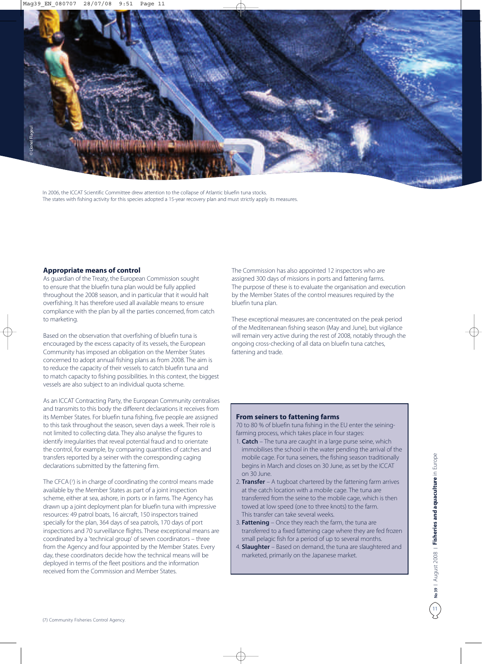

In 2006, the ICCAT Scientific Committee drew attention to the collapse of Atlantic bluefin tuna stocks. The states with fishing activity for this species adopted a 15-year recovery plan and must strictly apply its measures.

### **Appropriate means of control**

As guardian of the Treaty, the European Commission sought to ensure that the bluefin tuna plan would be fully applied throughout the 2008 season, and in particular that it would halt overfishing. It has therefore used all available means to ensure compliance with the plan by all the parties concerned, from catch to marketing.

Based on the observation that overfishing of bluefin tuna is encouraged by the excess capacity of its vessels, the European Community has imposed an obligation on the Member States concerned to adopt annual fishing plans as from 2008. The aim is to reduce the capacity of their vessels to catch bluefin tuna and to match capacity to fishing possibilities. In this context, the biggest vessels are also subject to an individual quota scheme.

As an ICCAT Contracting Party, the European Community centralises and transmits to this body the different declarations it receives from its Member States. For bluefin tuna fishing, five people are assigned to this task throughout the season, seven days a week. Their role is not limited to collecting data. They also analyse the figures to identify irregularities that reveal potential fraud and to orientate the control, for example, by comparing quantities of catches and transfers reported by a seiner with the corresponding caging declarations submitted by the fattening firm.

The CFCA (7) is in charge of coordinating the control means made available by the Member States as part of a joint inspection scheme, either at sea, ashore, in ports or in farms. The Agency has drawn up a joint deployment plan for bluefin tuna with impressive resources: 49 patrol boats, 16 aircraft, 150 inspectors trained specially for the plan, 364 days of sea patrols, 170 days of port inspections and 70 surveillance flights. These exceptional means are coordinated by a 'technical group' of seven coordinators – three from the Agency and four appointed by the Member States. Every day, these coordinators decide how the technical means will be deployed in terms of the fleet positions and the information received from the Commission and Member States.

The Commission has also appointed 12 inspectors who are assigned 300 days of missions in ports and fattening farms. The purpose of these is to evaluate the organisation and execution by the Member States of the control measures required by the bluefin tuna plan.

These exceptional measures are concentrated on the peak period of the Mediterranean fishing season (May and June), but vigilance will remain very active during the rest of 2008, notably through the ongoing cross-checking of all data on bluefin tuna catches, fattening and trade.

### **From seiners to fattening farms**

70 to 80 % of bluefin tuna fishing in the EU enter the seiningfarming process, which takes place in four stages:

- 1. **Catch** The tuna are caught in a large purse seine, which immobilises the school in the water pending the arrival of the mobile cage. For tuna seiners, the fishing season traditionally begins in March and closes on 30 June, as set by the ICCAT on 30 June.
- 2. **Transfer** A tugboat chartered by the fattening farm arrives at the catch location with a mobile cage. The tuna are transferred from the seine to the mobile cage, which is then towed at low speed (one to three knots) to the farm. This transfer can take several weeks.
- 3. **Fattening** Once they reach the farm, the tuna are transferred to a fixed fattening cage where they are fed frozen small pelagic fish for a period of up to several months.
- 4. **Slaughter** Based on demand, the tuna are slaughtered and marketed, primarily on the Japanese market.